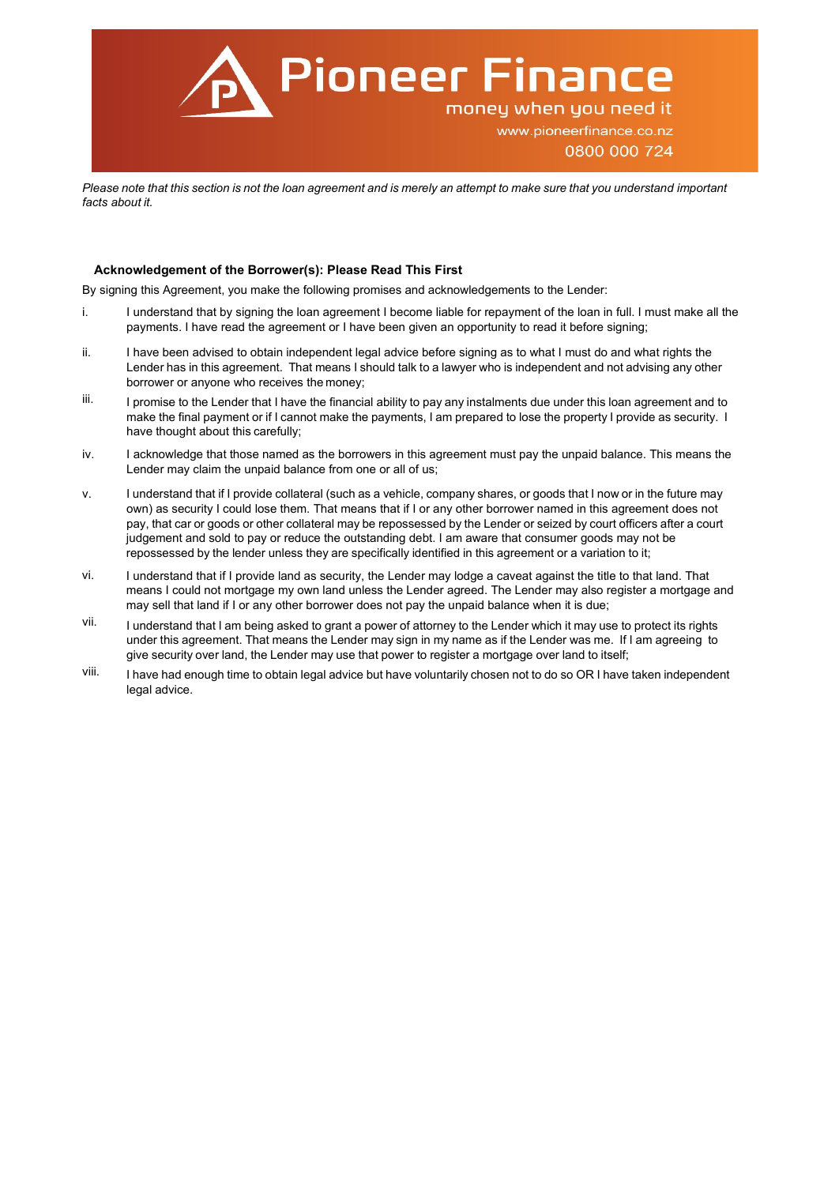

Please note that this section is not the loan agreement and is merely an attempt to make sure that you understand important *facts about it.*

#### **Acknowledgement of the Borrower(s): Please Read This First**

By signing this Agreement, you make the following promises and acknowledgements to the Lender:

- i. I understand that by signing the loan agreement I become liable for repayment of the loan in full. I must make all the payments. I have read the agreement or I have been given an opportunity to read it before signing;
- ii. I have been advised to obtain independent legal advice before signing as to what I must do and what rights the Lender has in this agreement. That means I should talk to a lawyer who is independent and not advising any other borrower or anyone who receives the money;
- iii. I promise to the Lender that I have the financial ability to pay any instalments due under this loan agreement and to make the final payment or if I cannot make the payments, I am prepared to lose the property I provide as security. I have thought about this carefully;
- iv. I acknowledge that those named as the borrowers in this agreement must pay the unpaid balance. This means the Lender may claim the unpaid balance from one or all of us;
- v. I understand that if I provide collateral (such as a vehicle, company shares, or goods that I now or in the future may own) as security I could lose them. That means that if I or any other borrower named in this agreement does not pay, that car or goods or other collateral may be repossessed by the Lender or seized by court officers after a court judgement and sold to pay or reduce the outstanding debt. I am aware that consumer goods may not be repossessed by the lender unless they are specifically identified in this agreement or a variation to it;
- vi. I understand that if I provide land as security, the Lender may lodge a caveat against the title to that land. That means I could not mortgage my own land unless the Lender agreed. The Lender may also register a mortgage and may sell that land if I or any other borrower does not pay the unpaid balance when it is due;
- vii. I understand that I am being asked to grant a power of attorney to the Lender which it may use to protect its rights under this agreement. That means the Lender may sign in my name as if the Lender was me. If I am agreeing to give security over land, the Lender may use that power to register a mortgage over land to itself;
- viii. I have had enough time to obtain legal advice but have voluntarily chosen not to do so OR I have taken independent legal advice.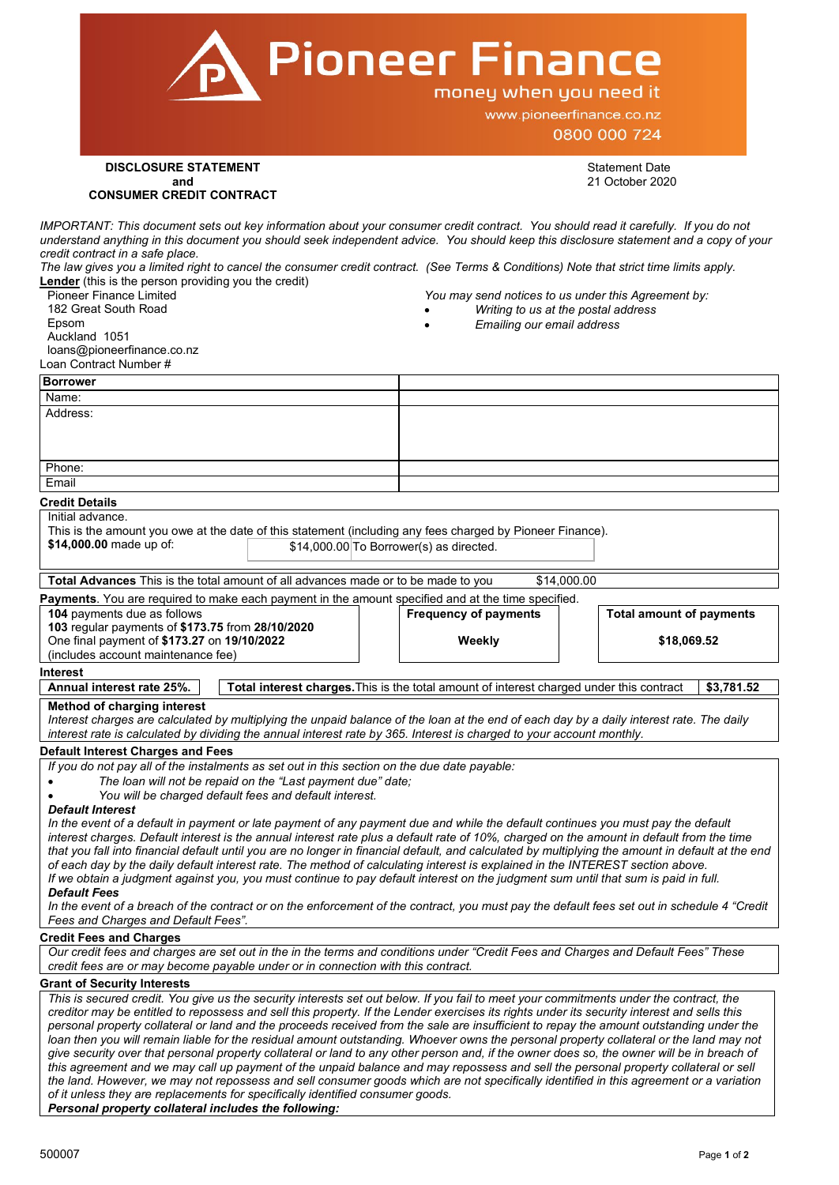|                                                                                                                                                                                                                                                                                                                                                                                                                                                                                                                                                                                                                                                                                                                                                                                                                                                                                                                                                                                                                                                                                                                                                      | <b>Pioneer Finance</b><br>money when you need it                                         | www.pioneerfinance.co.nz<br>0800 000 724                                                   |  |  |  |
|------------------------------------------------------------------------------------------------------------------------------------------------------------------------------------------------------------------------------------------------------------------------------------------------------------------------------------------------------------------------------------------------------------------------------------------------------------------------------------------------------------------------------------------------------------------------------------------------------------------------------------------------------------------------------------------------------------------------------------------------------------------------------------------------------------------------------------------------------------------------------------------------------------------------------------------------------------------------------------------------------------------------------------------------------------------------------------------------------------------------------------------------------|------------------------------------------------------------------------------------------|--------------------------------------------------------------------------------------------|--|--|--|
| <b>DISCLOSURE STATEMENT</b><br>and<br><b>CONSUMER CREDIT CONTRACT</b>                                                                                                                                                                                                                                                                                                                                                                                                                                                                                                                                                                                                                                                                                                                                                                                                                                                                                                                                                                                                                                                                                |                                                                                          | <b>Statement Date</b><br>21 October 2020                                                   |  |  |  |
| IMPORTANT: This document sets out key information about your consumer credit contract. You should read it carefully. If you do not<br>understand anything in this document you should seek independent advice. You should keep this disclosure statement and a copy of your<br>credit contract in a safe place.<br>The law gives you a limited right to cancel the consumer credit contract. (See Terms & Conditions) Note that strict time limits apply.<br>Lender (this is the person providing you the credit)<br><b>Pioneer Finance Limited</b><br>182 Great South Road<br>Epsom<br>Auckland 1051<br>loans@pioneerfinance.co.nz<br>Loan Contract Number #                                                                                                                                                                                                                                                                                                                                                                                                                                                                                        | Emailing our email address                                                               | You may send notices to us under this Agreement by:<br>Writing to us at the postal address |  |  |  |
| <b>Borrower</b><br>Name:                                                                                                                                                                                                                                                                                                                                                                                                                                                                                                                                                                                                                                                                                                                                                                                                                                                                                                                                                                                                                                                                                                                             |                                                                                          |                                                                                            |  |  |  |
| Address:                                                                                                                                                                                                                                                                                                                                                                                                                                                                                                                                                                                                                                                                                                                                                                                                                                                                                                                                                                                                                                                                                                                                             |                                                                                          |                                                                                            |  |  |  |
| Phone:                                                                                                                                                                                                                                                                                                                                                                                                                                                                                                                                                                                                                                                                                                                                                                                                                                                                                                                                                                                                                                                                                                                                               |                                                                                          |                                                                                            |  |  |  |
| Email<br><b>Credit Details</b>                                                                                                                                                                                                                                                                                                                                                                                                                                                                                                                                                                                                                                                                                                                                                                                                                                                                                                                                                                                                                                                                                                                       |                                                                                          |                                                                                            |  |  |  |
| Initial advance.<br>This is the amount you owe at the date of this statement (including any fees charged by Pioneer Finance).<br>\$14,000.00 made up of:<br>$$14,000.00$ To Borrower(s) as directed.<br>Total Advances This is the total amount of all advances made or to be made to you<br>\$14,000.00                                                                                                                                                                                                                                                                                                                                                                                                                                                                                                                                                                                                                                                                                                                                                                                                                                             |                                                                                          |                                                                                            |  |  |  |
| Payments. You are required to make each payment in the amount specified and at the time specified.                                                                                                                                                                                                                                                                                                                                                                                                                                                                                                                                                                                                                                                                                                                                                                                                                                                                                                                                                                                                                                                   |                                                                                          |                                                                                            |  |  |  |
| 104 payments due as follows<br>103 regular payments of \$173.75 from 28/10/2020<br>One final payment of \$173.27 on 19/10/2022<br>(includes account maintenance fee)                                                                                                                                                                                                                                                                                                                                                                                                                                                                                                                                                                                                                                                                                                                                                                                                                                                                                                                                                                                 | <b>Frequency of payments</b><br>Weekly                                                   | <b>Total amount of payments</b><br>\$18,069.52                                             |  |  |  |
| Interest<br>Annual interest rate 25%.<br>Method of charging interest                                                                                                                                                                                                                                                                                                                                                                                                                                                                                                                                                                                                                                                                                                                                                                                                                                                                                                                                                                                                                                                                                 | Total interest charges. This is the total amount of interest charged under this contract | \$3,781.52                                                                                 |  |  |  |
| Interest charges are calculated by multiplying the unpaid balance of the loan at the end of each day by a daily interest rate. The daily<br>interest rate is calculated by dividing the annual interest rate by 365. Interest is charged to your account monthly.<br><b>Default Interest Charges and Fees</b>                                                                                                                                                                                                                                                                                                                                                                                                                                                                                                                                                                                                                                                                                                                                                                                                                                        |                                                                                          |                                                                                            |  |  |  |
| If you do not pay all of the instalments as set out in this section on the due date payable:<br>The loan will not be repaid on the "Last payment due" date;<br>٠<br>You will be charged default fees and default interest.<br><b>Default Interest</b><br>In the event of a default in payment or late payment of any payment due and while the default continues you must pay the default                                                                                                                                                                                                                                                                                                                                                                                                                                                                                                                                                                                                                                                                                                                                                            |                                                                                          |                                                                                            |  |  |  |
| interest charges. Default interest is the annual interest rate plus a default rate of 10%, charged on the amount in default from the time<br>that you fall into financial default until you are no longer in financial default, and calculated by multiplying the amount in default at the end<br>of each day by the daily default interest rate. The method of calculating interest is explained in the INTEREST section above.<br>If we obtain a judgment against you, you must continue to pay default interest on the judgment sum until that sum is paid in full.<br><b>Default Fees</b>                                                                                                                                                                                                                                                                                                                                                                                                                                                                                                                                                        |                                                                                          |                                                                                            |  |  |  |
| In the event of a breach of the contract or on the enforcement of the contract, you must pay the default fees set out in schedule 4 "Credit"<br>Fees and Charges and Default Fees".<br><b>Credit Fees and Charges</b>                                                                                                                                                                                                                                                                                                                                                                                                                                                                                                                                                                                                                                                                                                                                                                                                                                                                                                                                |                                                                                          |                                                                                            |  |  |  |
| Our credit fees and charges are set out in the in the terms and conditions under "Credit Fees and Charges and Default Fees" These<br>credit fees are or may become payable under or in connection with this contract.<br><b>Grant of Security Interests</b>                                                                                                                                                                                                                                                                                                                                                                                                                                                                                                                                                                                                                                                                                                                                                                                                                                                                                          |                                                                                          |                                                                                            |  |  |  |
| This is secured credit. You give us the security interests set out below. If you fail to meet your commitments under the contract, the<br>creditor may be entitled to repossess and sell this property. If the Lender exercises its rights under its security interest and sells this<br>personal property collateral or land and the proceeds received from the sale are insufficient to repay the amount outstanding under the<br>loan then you will remain liable for the residual amount outstanding. Whoever owns the personal property collateral or the land may not<br>give security over that personal property collateral or land to any other person and, if the owner does so, the owner will be in breach of<br>this agreement and we may call up payment of the unpaid balance and may repossess and sell the personal property collateral or sell<br>the land. However, we may not repossess and sell consumer goods which are not specifically identified in this agreement or a variation<br>of it unless they are replacements for specifically identified consumer goods.<br>Personal property collateral includes the following: |                                                                                          |                                                                                            |  |  |  |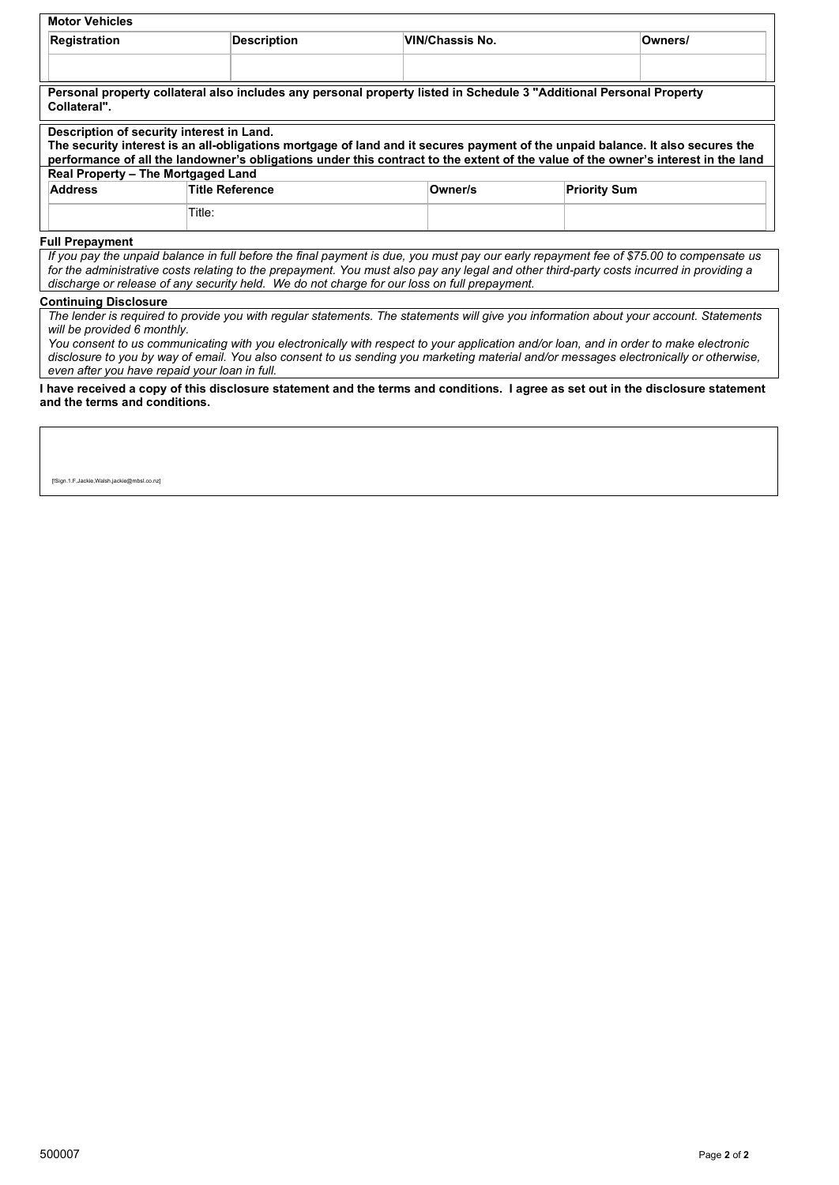| <b>Motor Vehicles</b>        |                                                                                                                                 |                                                                                              |                                                                                                                                                                                                                                                                                     |
|------------------------------|---------------------------------------------------------------------------------------------------------------------------------|----------------------------------------------------------------------------------------------|-------------------------------------------------------------------------------------------------------------------------------------------------------------------------------------------------------------------------------------------------------------------------------------|
| <b>Registration</b>          | Description                                                                                                                     | <b>VIN/Chassis No.</b>                                                                       | Owners/                                                                                                                                                                                                                                                                             |
|                              |                                                                                                                                 |                                                                                              |                                                                                                                                                                                                                                                                                     |
| Collateral".                 |                                                                                                                                 |                                                                                              | Personal property collateral also includes any personal property listed in Schedule 3 "Additional Personal Property                                                                                                                                                                 |
|                              | Description of security interest in Land.<br>Real Property – The Mortgaged Land                                                 |                                                                                              | The security interest is an all-obligations mortgage of land and it secures payment of the unpaid balance. It also secures the<br>performance of all the landowner's obligations under this contract to the extent of the value of the owner's interest in the land                 |
| <b>Address</b>               | <b>Title Reference</b>                                                                                                          | Owner/s                                                                                      | <b>Priority Sum</b>                                                                                                                                                                                                                                                                 |
|                              | Title:                                                                                                                          |                                                                                              |                                                                                                                                                                                                                                                                                     |
| <b>Full Prepayment</b>       |                                                                                                                                 |                                                                                              |                                                                                                                                                                                                                                                                                     |
|                              |                                                                                                                                 | discharge or release of any security held. We do not charge for our loss on full prepayment. | If you pay the unpaid balance in full before the final payment is due, you must pay our early repayment fee of \$75.00 to compensate us<br>for the administrative costs relating to the prepayment. You must also pay any legal and other third-party costs incurred in providing a |
| <b>Continuing Disclosure</b> |                                                                                                                                 |                                                                                              |                                                                                                                                                                                                                                                                                     |
| will be provided 6 monthly.  | You concent to us communication with you algebrariaslly with recognition andication and/or loop, and in exder to make algebraic |                                                                                              | The lender is required to provide you with regular statements. The statements will give you information about your account. Statements                                                                                                                                              |

*You consent to us communicating with you electronically with respect to your application and/or loan, and in order to make electronic disclosure to you by way of email. You also consent to us sending you marketing material and/or messages electronically or otherwise, even after you have repaid your loan in full.*

**I have received a copy of this disclosure statement and the terms and conditions. I agree as set out in the disclosure statement and the terms and conditions.**

[!Sign.1.F,Jackie,Walsh,jackie@mbsl.co.nz]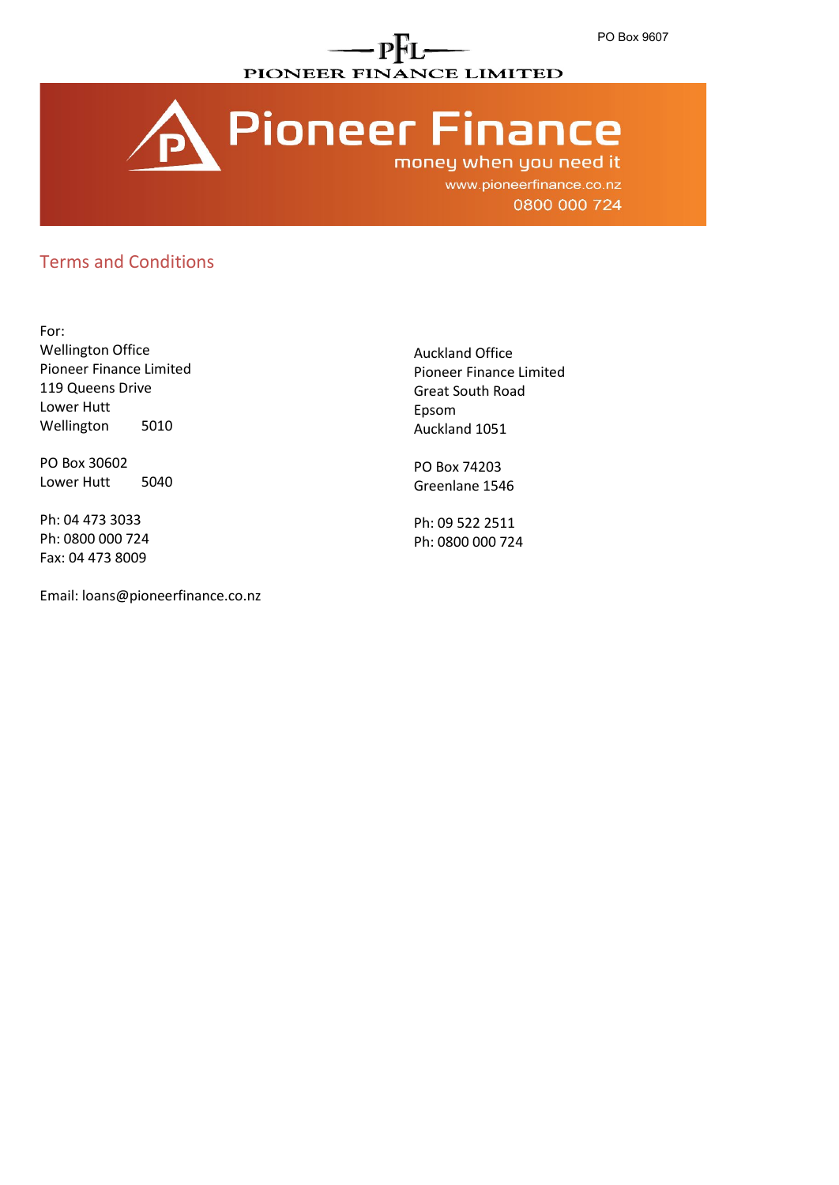

**Pioneer Finance** money when you need it

www.pioneerfinance.co.nz 0800 000 724

## Terms and Conditions

For: Wellington Office Pioneer Finance Limited 119 Queens Drive Lower Hutt Wellington 5010

PO Box 30602 Lower Hutt 5040

Ph: 04 473 3033 Ph: 0800 000 724 Fax: 04 473 8009

Email: loans@pioneerfinance.co.nz

Auckland Office Pioneer Finance Limited Great South Road Epsom Auckland 1051

PO Box 74203 Greenlane 1546

Ph: 09 522 2511 Ph: 0800 000 724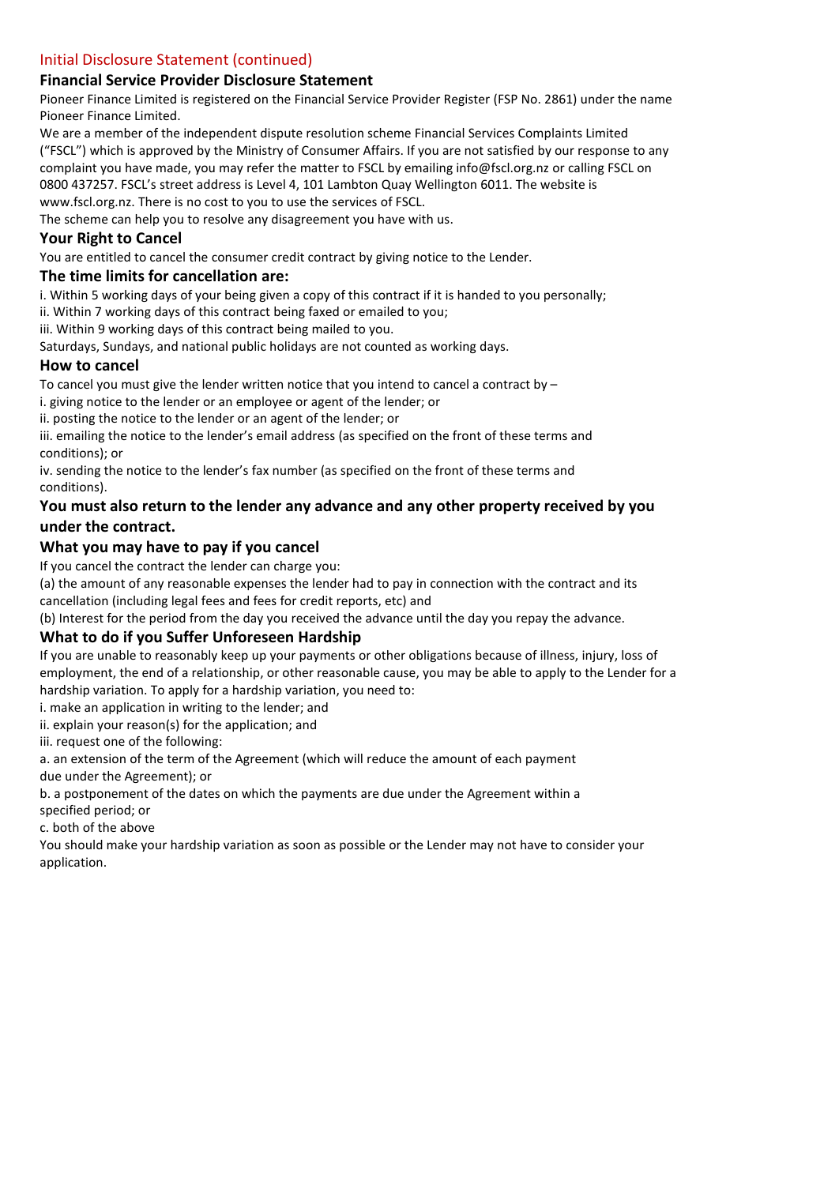## Initial Disclosure Statement (continued)

## **Financial Service Provider Disclosure Statement**

Pioneer Finance Limited is registered on the Financial Service Provider Register (FSP No. 2861) under the name Pioneer Finance Limited.

We are a member of the independent dispute resolution scheme Financial Services Complaints Limited ("FSCL") which is approved by the Ministry of Consumer Affairs. If you are not satisfied by our response to any complaint you have made, you may refer the matter to FSCL by emailing info@fscl.org.nz or calling FSCL on 0800 437257. FSCL's street address is Level 4, 101 Lambton Quay Wellington 6011. The website is www.fscl.org.nz. There is no cost to you to use the services of FSCL.

The scheme can help you to resolve any disagreement you have with us.

## **Your Right to Cancel**

You are entitled to cancel the consumer credit contract by giving notice to the Lender.

## **The time limits for cancellation are:**

i. Within 5 working days of your being given a copy of this contract if it is handed to you personally;

ii. Within 7 working days of this contract being faxed or emailed to you;

iii. Within 9 working days of this contract being mailed to you.

Saturdays, Sundays, and national public holidays are not counted as working days.

## **How to cancel**

To cancel you must give the lender written notice that you intend to cancel a contract by –

i. giving notice to the lender or an employee or agent of the lender; or

ii. posting the notice to the lender or an agent of the lender; or

iii. emailing the notice to the lender's email address (as specified on the front of these terms and conditions); or

iv. sending the notice to the lender's fax number (as specified on the front of these terms and conditions).

## **You must also return to the lender any advance and any other property received by you under the contract.**

## **What you may have to pay if you cancel**

If you cancel the contract the lender can charge you:

(a) the amount of any reasonable expenses the lender had to pay in connection with the contract and its cancellation (including legal fees and fees for credit reports, etc) and

(b) Interest for the period from the day you received the advance until the day you repay the advance.

## **What to do if you Suffer Unforeseen Hardship**

If you are unable to reasonably keep up your payments or other obligations because of illness, injury, loss of employment, the end of a relationship, or other reasonable cause, you may be able to apply to the Lender for a hardship variation. To apply for a hardship variation, you need to:

i. make an application in writing to the lender; and

ii. explain your reason(s) for the application; and

iii. request one of the following:

a. an extension of the term of the Agreement (which will reduce the amount of each payment due under the Agreement); or

b. a postponement of the dates on which the payments are due under the Agreement within a

specified period; or

c. both of the above

You should make your hardship variation as soon as possible or the Lender may not have to consider your application.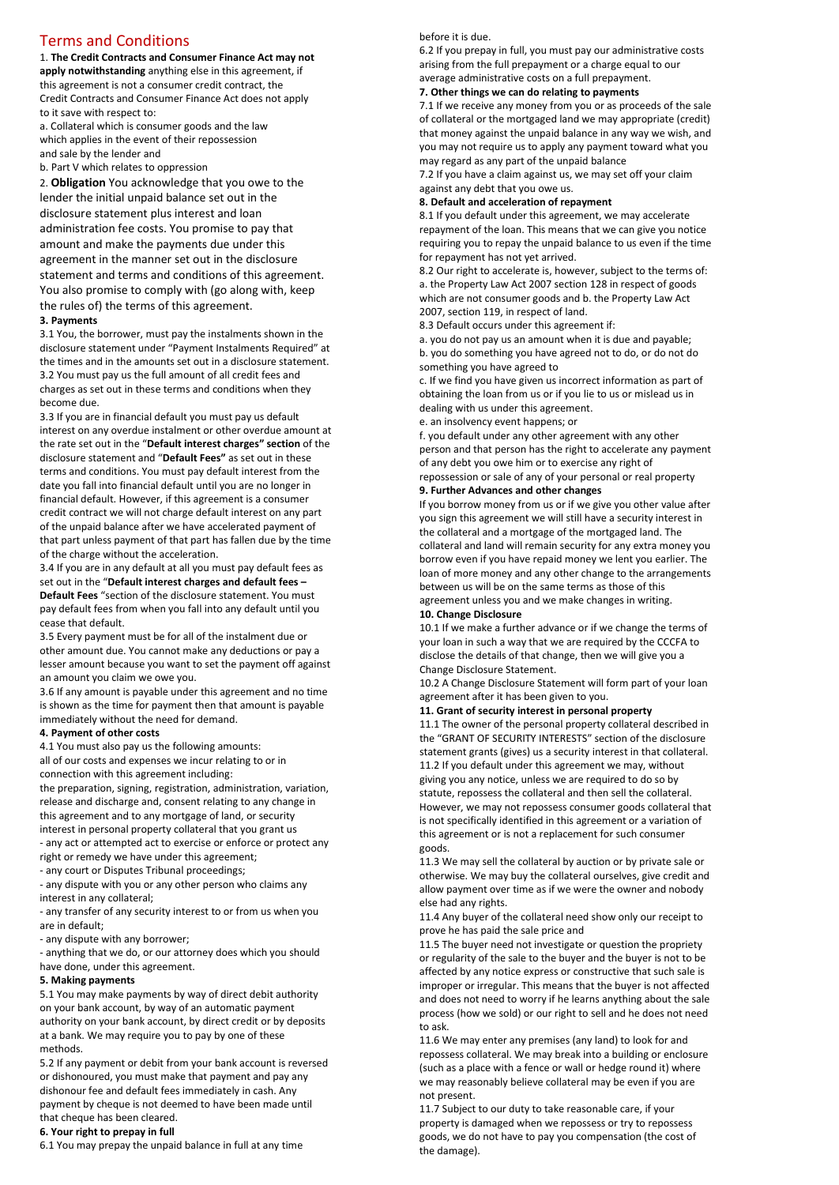### Terms and Conditions

1. **The Credit Contracts and Consumer Finance Act may not apply notwithstanding** anything else in this agreement, if this agreement is not a consumer credit contract, the Credit Contracts and Consumer Finance Act does not apply to it save with respect to:

a. Collateral which is consumer goods and the law which applies in the event of their repossession and sale by the lender and

b. Part V which relates to oppression

2. **Obligation** You acknowledge that you owe to the lender the initial unpaid balance set out in the disclosure statement plus interest and loan administration fee costs. You promise to pay that amount and make the payments due under this agreement in the manner set out in the disclosure statement and terms and conditions of this agreement. You also promise to comply with (go along with, keep the rules of) the terms of this agreement.

#### **3. Payments**

3.1 You, the borrower, must pay the instalments shown in the disclosure statement under "Payment Instalments Required" at the times and in the amounts set out in a disclosure statement. 3.2 You must pay us the full amount of all credit fees and charges as set out in these terms and conditions when they become due.

3.3 If you are in financial default you must pay us default interest on any overdue instalment or other overdue amount at the rate set out in the "**Default interest charges" section** of the disclosure statement and "**Default Fees"** as set out in these terms and conditions. You must pay default interest from the date you fall into financial default until you are no longer in financial default. However, if this agreement is a consumer credit contract we will not charge default interest on any part of the unpaid balance after we have accelerated payment of that part unless payment of that part has fallen due by the time of the charge without the acceleration.

3.4 If you are in any default at all you must pay default fees as set out in the "**Default interest charges and default fees – Default Fees** "section of the disclosure statement. You must pay default fees from when you fall into any default until you cease that default.

3.5 Every payment must be for all of the instalment due or other amount due. You cannot make any deductions or pay a lesser amount because you want to set the payment off against an amount you claim we owe you.

3.6 If any amount is payable under this agreement and no time is shown as the time for payment then that amount is payable immediately without the need for demand.

#### **4. Payment of other costs**

4.1 You must also pay us the following amounts:

all of our costs and expenses we incur relating to or in connection with this agreement including:

the preparation, signing, registration, administration, variation, release and discharge and, consent relating to any change in this agreement and to any mortgage of land, or security interest in personal property collateral that you grant us - any act or attempted act to exercise or enforce or protect any

right or remedy we have under this agreement;

- any court or Disputes Tribunal proceedings;

- any dispute with you or any other person who claims any interest in any collateral;

- any transfer of any security interest to or from us when you are in default;

- any dispute with any borrower;

- anything that we do, or our attorney does which you should have done, under this agreement.

#### **5. Making payments**

5.1 You may make payments by way of direct debit authority on your bank account, by way of an automatic payment authority on your bank account, by direct credit or by deposits at a bank. We may require you to pay by one of these methods.

5.2 If any payment or debit from your bank account is reversed or dishonoured, you must make that payment and pay any dishonour fee and default fees immediately in cash. Any payment by cheque is not deemed to have been made until that cheque has been cleared.

#### **6. Your right to prepay in full**

6.1 You may prepay the unpaid balance in full at any time

#### before it is due.

6.2 If you prepay in full, you must pay our administrative costs arising from the full prepayment or a charge equal to our average administrative costs on a full prepayment.

#### **7. Other things we can do relating to payments**

7.1 If we receive any money from you or as proceeds of the sale of collateral or the mortgaged land we may appropriate (credit) that money against the unpaid balance in any way we wish, and you may not require us to apply any payment toward what you may regard as any part of the unpaid balance

7.2 If you have a claim against us, we may set off your claim against any debt that you owe us.

#### **8. Default and acceleration of repayment**

8.1 If you default under this agreement, we may accelerate repayment of the loan. This means that we can give you notice requiring you to repay the unpaid balance to us even if the time for repayment has not yet arrived.

8.2 Our right to accelerate is, however, subject to the terms of: a. the Property Law Act 2007 section 128 in respect of goods which are not consumer goods and b. the Property Law Act 2007, section 119, in respect of land.

8.3 Default occurs under this agreement if:

a. you do not pay us an amount when it is due and payable; b. you do something you have agreed not to do, or do not do something you have agreed to

c. If we find you have given us incorrect information as part of obtaining the loan from us or if you lie to us or mislead us in dealing with us under this agreement.

e. an insolvency event happens; or

f. you default under any other agreement with any other person and that person has the right to accelerate any payment of any debt you owe him or to exercise any right of

repossession or sale of any of your personal or real property **9. Further Advances and other changes**

If you borrow money from us or if we give you other value after you sign this agreement we will still have a security interest in the collateral and a mortgage of the mortgaged land. The collateral and land will remain security for any extra money you borrow even if you have repaid money we lent you earlier. The loan of more money and any other change to the arrangements between us will be on the same terms as those of this agreement unless you and we make changes in writing.

#### **10. Change Disclosure**

10.1 If we make a further advance or if we change the terms of your loan in such a way that we are required by the CCCFA to disclose the details of that change, then we will give you a Change Disclosure Statement.

10.2 A Change Disclosure Statement will form part of your loan agreement after it has been given to you.

#### **11. Grant of security interest in personal property**

11.1 The owner of the personal property collateral described in the "GRANT OF SECURITY INTERESTS" section of the disclosure statement grants (gives) us a security interest in that collateral. 11.2 If you default under this agreement we may, without giving you any notice, unless we are required to do so by statute, repossess the collateral and then sell the collateral. However, we may not repossess consumer goods collateral that is not specifically identified in this agreement or a variation of this agreement or is not a replacement for such consumer goods.

11.3 We may sell the collateral by auction or by private sale or otherwise. We may buy the collateral ourselves, give credit and allow payment over time as if we were the owner and nobody else had any rights.

11.4 Any buyer of the collateral need show only our receipt to prove he has paid the sale price and

11.5 The buyer need not investigate or question the propriety or regularity of the sale to the buyer and the buyer is not to be affected by any notice express or constructive that such sale is improper or irregular. This means that the buyer is not affected and does not need to worry if he learns anything about the sale process (how we sold) or our right to sell and he does not need to ask.

11.6 We may enter any premises (any land) to look for and repossess collateral. We may break into a building or enclosure (such as a place with a fence or wall or hedge round it) where we may reasonably believe collateral may be even if you are not present.

11.7 Subject to our duty to take reasonable care, if your property is damaged when we repossess or try to repossess goods, we do not have to pay you compensation (the cost of the damage).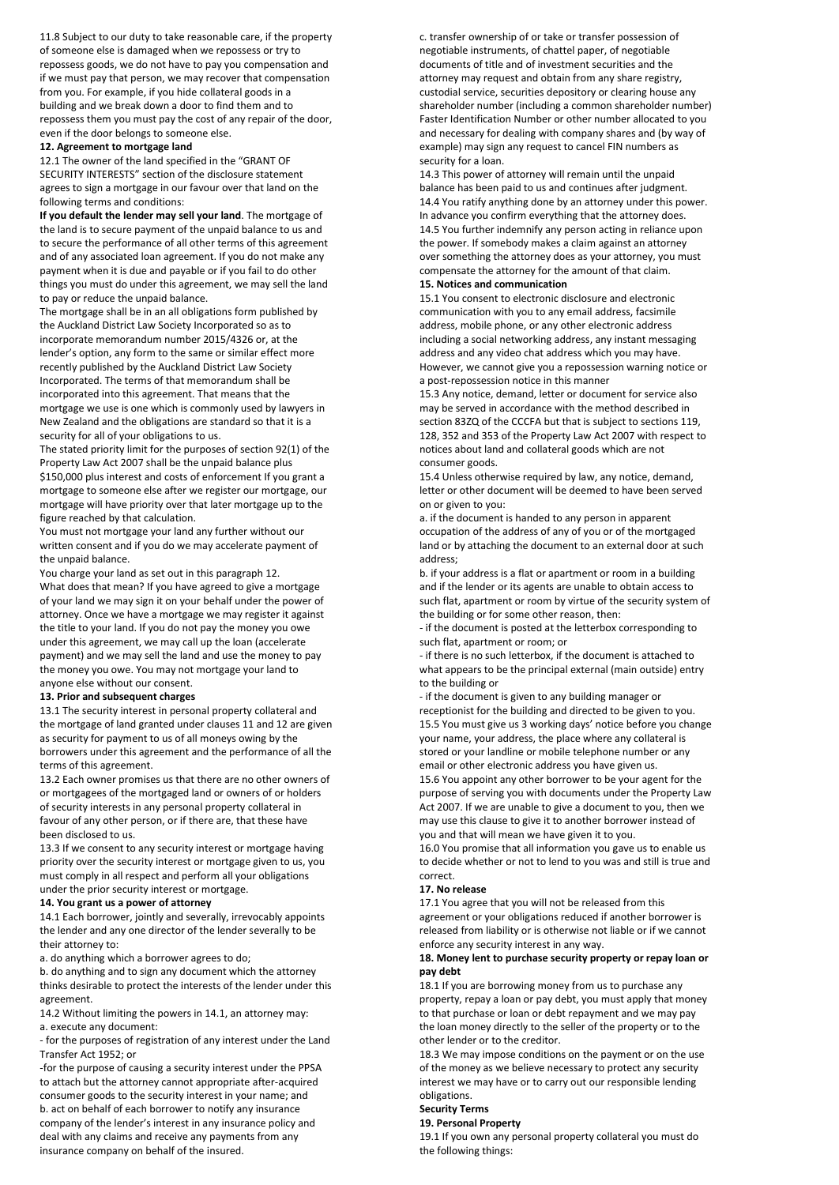11.8 Subject to our duty to take reasonable care, if the property of someone else is damaged when we repossess or try to repossess goods, we do not have to pay you compensation and if we must pay that person, we may recover that compensation from you. For example, if you hide collateral goods in a building and we break down a door to find them and to repossess them you must pay the cost of any repair of the door, even if the door belongs to someone else.

#### **12. Agreement to mortgage land**

12.1 The owner of the land specified in the "GRANT OF SECURITY INTERESTS" section of the disclosure statement agrees to sign a mortgage in our favour over that land on the following terms and conditions:

**If you default the lender may sell your land**. The mortgage of the land is to secure payment of the unpaid balance to us and to secure the performance of all other terms of this agreement and of any associated loan agreement. If you do not make any payment when it is due and payable or if you fail to do other things you must do under this agreement, we may sell the land to pay or reduce the unpaid balance.

The mortgage shall be in an all obligations form published by the Auckland District Law Society Incorporated so as to incorporate memorandum number 2015/4326 or, at the lender's option, any form to the same or similar effect more recently published by the Auckland District Law Society Incorporated. The terms of that memorandum shall be incorporated into this agreement. That means that the mortgage we use is one which is commonly used by lawyers in New Zealand and the obligations are standard so that it is a security for all of your obligations to us.

The stated priority limit for the purposes of section 92(1) of the Property Law Act 2007 shall be the unpaid balance plus

\$150,000 plus interest and costs of enforcement If you grant a mortgage to someone else after we register our mortgage, our mortgage will have priority over that later mortgage up to the figure reached by that calculation.

You must not mortgage your land any further without our written consent and if you do we may accelerate payment of the unpaid balance.

You charge your land as set out in this paragraph 12. What does that mean? If you have agreed to give a mortgage of your land we may sign it on your behalf under the power of attorney. Once we have a mortgage we may register it against the title to your land. If you do not pay the money you owe under this agreement, we may call up the loan (accelerate payment) and we may sell the land and use the money to pay the money you owe. You may not mortgage your land to anyone else without our consent.

#### **13. Prior and subsequent charges**

13.1 The security interest in personal property collateral and the mortgage of land granted under clauses 11 and 12 are given as security for payment to us of all moneys owing by the borrowers under this agreement and the performance of all the terms of this agreement.

13.2 Each owner promises us that there are no other owners of or mortgagees of the mortgaged land or owners of or holders of security interests in any personal property collateral in favour of any other person, or if there are, that these have been disclosed to us.

13.3 If we consent to any security interest or mortgage having priority over the security interest or mortgage given to us, you must comply in all respect and perform all your obligations under the prior security interest or mortgage.

#### **14. You grant us a power of attorney**

14.1 Each borrower, jointly and severally, irrevocably appoints the lender and any one director of the lender severally to be their attorney to:

a. do anything which a borrower agrees to do;

b. do anything and to sign any document which the attorney thinks desirable to protect the interests of the lender under this agreement.

14.2 Without limiting the powers in 14.1, an attorney may: a. execute any document:

- for the purposes of registration of any interest under the Land Transfer Act 1952; or

-for the purpose of causing a security interest under the PPSA to attach but the attorney cannot appropriate after-acquired consumer goods to the security interest in your name; and b. act on behalf of each borrower to notify any insurance company of the lender's interest in any insurance policy and deal with any claims and receive any payments from any insurance company on behalf of the insured.

c. transfer ownership of or take or transfer possession of negotiable instruments, of chattel paper, of negotiable documents of title and of investment securities and the attorney may request and obtain from any share registry, custodial service, securities depository or clearing house any shareholder number (including a common shareholder number) Faster Identification Number or other number allocated to you and necessary for dealing with company shares and (by way of example) may sign any request to cancel FIN numbers as security for a loan.

14.3 This power of attorney will remain until the unpaid balance has been paid to us and continues after judgment. 14.4 You ratify anything done by an attorney under this power. In advance you confirm everything that the attorney does. 14.5 You further indemnify any person acting in reliance upon the power. If somebody makes a claim against an attorney over something the attorney does as your attorney, you must compensate the attorney for the amount of that claim. **15. Notices and communication**

#### 15.1 You consent to electronic disclosure and electronic

communication with you to any email address, facsimile address, mobile phone, or any other electronic address including a social networking address, any instant messaging address and any video chat address which you may have. However, we cannot give you a repossession warning notice or a post-repossession notice in this manner

15.3 Any notice, demand, letter or document for service also may be served in accordance with the method described in section 83ZQ of the CCCFA but that is subject to sections 119, 128, 352 and 353 of the Property Law Act 2007 with respect to notices about land and collateral goods which are not consumer goods.

15.4 Unless otherwise required by law, any notice, demand, letter or other document will be deemed to have been served on or given to you:

a. if the document is handed to any person in apparent occupation of the address of any of you or of the mortgaged land or by attaching the document to an external door at such address;

b. if your address is a flat or apartment or room in a building and if the lender or its agents are unable to obtain access to such flat, apartment or room by virtue of the security system of the building or for some other reason, then:

- if the document is posted at the letterbox corresponding to such flat, apartment or room; or

- if there is no such letterbox, if the document is attached to what appears to be the principal external (main outside) entry to the building or

- if the document is given to any building manager or receptionist for the building and directed to be given to you. 15.5 You must give us 3 working days' notice before you change your name, your address, the place where any collateral is stored or your landline or mobile telephone number or any email or other electronic address you have given us.

15.6 You appoint any other borrower to be your agent for the purpose of serving you with documents under the Property Law Act 2007. If we are unable to give a document to you, then we may use this clause to give it to another borrower instead of you and that will mean we have given it to you.

16.0 You promise that all information you gave us to enable us to decide whether or not to lend to you was and still is true and correct.

#### **17. No release**

17.1 You agree that you will not be released from this agreement or your obligations reduced if another borrower is released from liability or is otherwise not liable or if we cannot enforce any security interest in any way.

#### **18. Money lent to purchase security property or repay loan or pay debt**

18.1 If you are borrowing money from us to purchase any property, repay a loan or pay debt, you must apply that money to that purchase or loan or debt repayment and we may pay the loan money directly to the seller of the property or to the other lender or to the creditor.

18.3 We may impose conditions on the payment or on the use of the money as we believe necessary to protect any security interest we may have or to carry out our responsible lending obligations.

#### **Security Terms**

#### **19. Personal Property**

19.1 If you own any personal property collateral you must do the following things: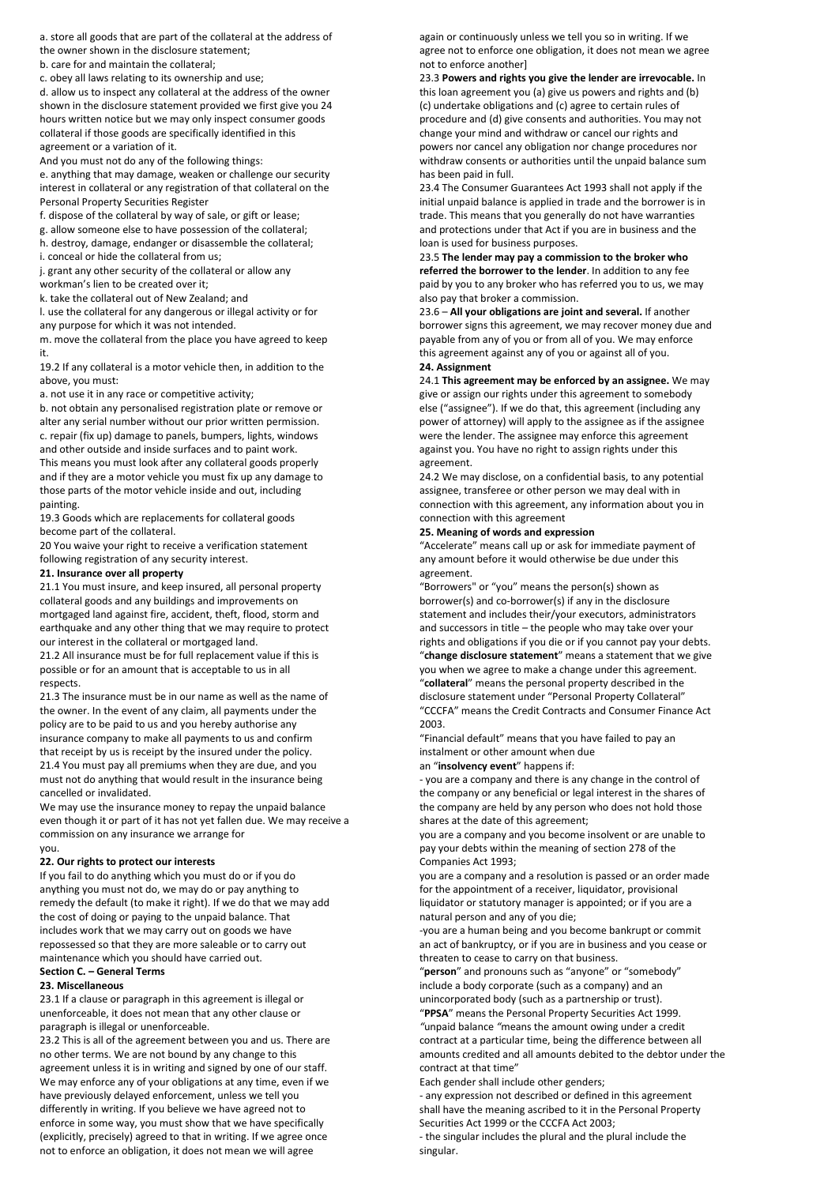a. store all goods that are part of the collateral at the address of the owner shown in the disclosure statement;

b. care for and maintain the collateral;

c. obey all laws relating to its ownership and use;

d. allow us to inspect any collateral at the address of the owner shown in the disclosure statement provided we first give you 24 hours written notice but we may only inspect consumer goods collateral if those goods are specifically identified in this agreement or a variation of it.

And you must not do any of the following things:

e. anything that may damage, weaken or challenge our security interest in collateral or any registration of that collateral on the Personal Property Securities Register

f. dispose of the collateral by way of sale, or gift or lease;

g. allow someone else to have possession of the collateral;

h. destroy, damage, endanger or disassemble the collateral; i. conceal or hide the collateral from us;

j. grant any other security of the collateral or allow any

workman's lien to be created over it;

k. take the collateral out of New Zealand; and

l. use the collateral for any dangerous or illegal activity or for any purpose for which it was not intended.

m. move the collateral from the place you have agreed to keep it.

19.2 If any collateral is a motor vehicle then, in addition to the above, you must:

a. not use it in any race or competitive activity;

b. not obtain any personalised registration plate or remove or alter any serial number without our prior written permission. c. repair (fix up) damage to panels, bumpers, lights, windows and other outside and inside surfaces and to paint work. This means you must look after any collateral goods properly and if they are a motor vehicle you must fix up any damage to those parts of the motor vehicle inside and out, including painting.

19.3 Goods which are replacements for collateral goods become part of the collateral.

20 You waive your right to receive a verification statement following registration of any security interest.

#### **21. Insurance over all property**

21.1 You must insure, and keep insured, all personal property collateral goods and any buildings and improvements on mortgaged land against fire, accident, theft, flood, storm and earthquake and any other thing that we may require to protect our interest in the collateral or mortgaged land.

21.2 All insurance must be for full replacement value if this is possible or for an amount that is acceptable to us in all respects.

21.3 The insurance must be in our name as well as the name of the owner. In the event of any claim, all payments under the policy are to be paid to us and you hereby authorise any insurance company to make all payments to us and confirm that receipt by us is receipt by the insured under the policy. 21.4 You must pay all premiums when they are due, and you must not do anything that would result in the insurance being cancelled or invalidated.

We may use the insurance money to repay the unpaid balance even though it or part of it has not yet fallen due. We may receive a commission on any insurance we arrange for you.

#### **22. Our rights to protect our interests**

If you fail to do anything which you must do or if you do anything you must not do, we may do or pay anything to remedy the default (to make it right). If we do that we may add the cost of doing or paying to the unpaid balance. That includes work that we may carry out on goods we have repossessed so that they are more saleable or to carry out maintenance which you should have carried out. **Section C. – General Terms**

**23. Miscellaneous**

23.1 If a clause or paragraph in this agreement is illegal or unenforceable, it does not mean that any other clause or paragraph is illegal or unenforceable.

23.2 This is all of the agreement between you and us. There are no other terms. We are not bound by any change to this agreement unless it is in writing and signed by one of our staff. We may enforce any of your obligations at any time, even if we have previously delayed enforcement, unless we tell you differently in writing. If you believe we have agreed not to enforce in some way, you must show that we have specifically (explicitly, precisely) agreed to that in writing. If we agree once not to enforce an obligation, it does not mean we will agree

again or continuously unless we tell you so in writing. If we agree not to enforce one obligation, it does not mean we agree not to enforce another]

23.3 **Powers and rights you give the lender are irrevocable.** In this loan agreement you (a) give us powers and rights and (b) (c) undertake obligations and (c) agree to certain rules of procedure and (d) give consents and authorities. You may not change your mind and withdraw or cancel our rights and powers nor cancel any obligation nor change procedures nor withdraw consents or authorities until the unpaid balance sum has been paid in full.

23.4 The Consumer Guarantees Act 1993 shall not apply if the initial unpaid balance is applied in trade and the borrower is in trade. This means that you generally do not have warranties and protections under that Act if you are in business and the loan is used for business purposes.

#### 23.5 **The lender may pay a commission to the broker who referred the borrower to the lender**. In addition to any fee paid by you to any broker who has referred you to us, we may also pay that broker a commission.

23.6 – **All your obligations are joint and several.** If another borrower signs this agreement, we may recover money due and payable from any of you or from all of you. We may enforce this agreement against any of you or against all of you. **24. Assignment**

24.1 **This agreement may be enforced by an assignee.** We may give or assign our rights under this agreement to somebody else ("assignee"). If we do that, this agreement (including any power of attorney) will apply to the assignee as if the assignee were the lender. The assignee may enforce this agreement against you. You have no right to assign rights under this agreement.

24.2 We may disclose, on a confidential basis, to any potential assignee, transferee or other person we may deal with in connection with this agreement, any information about you in connection with this agreement

#### **25. Meaning of words and expression**

"Accelerate" means call up or ask for immediate payment of any amount before it would otherwise be due under this agreement.

"Borrowers" or "you" means the person(s) shown as borrower(s) and co-borrower(s) if any in the disclosure statement and includes their/your executors, administrators and successors in title – the people who may take over your rights and obligations if you die or if you cannot pay your debts. "**change disclosure statement**" means a statement that we give

you when we agree to make a change under this agreement. "**collateral**" means the personal property described in the disclosure statement under "Personal Property Collateral" "CCCFA" means the Credit Contracts and Consumer Finance Act 2003.

"Financial default" means that you have failed to pay an instalment or other amount when due

an "**insolvency event**" happens if:

- you are a company and there is any change in the control of the company or any beneficial or legal interest in the shares of the company are held by any person who does not hold those shares at the date of this agreement;

you are a company and you become insolvent or are unable to pay your debts within the meaning of section 278 of the Companies Act 1993;

you are a company and a resolution is passed or an order made for the appointment of a receiver, liquidator, provisional liquidator or statutory manager is appointed; or if you are a natural person and any of you die;

-you are a human being and you become bankrupt or commit an act of bankruptcy, or if you are in business and you cease or threaten to cease to carry on that business.

"**person**" and pronouns such as "anyone" or "somebody" include a body corporate (such as a company) and an unincorporated body (such as a partnership or trust).

"**PPSA**" means the Personal Property Securities Act 1999. *"*unpaid balance *"*means the amount owing under a credit contract at a particular time, being the difference between all amounts credited and all amounts debited to the debtor under the contract at that time"

Each gender shall include other genders;

- any expression not described or defined in this agreement shall have the meaning ascribed to it in the Personal Property Securities Act 1999 or the CCCFA Act 2003;

- the singular includes the plural and the plural include the singular.